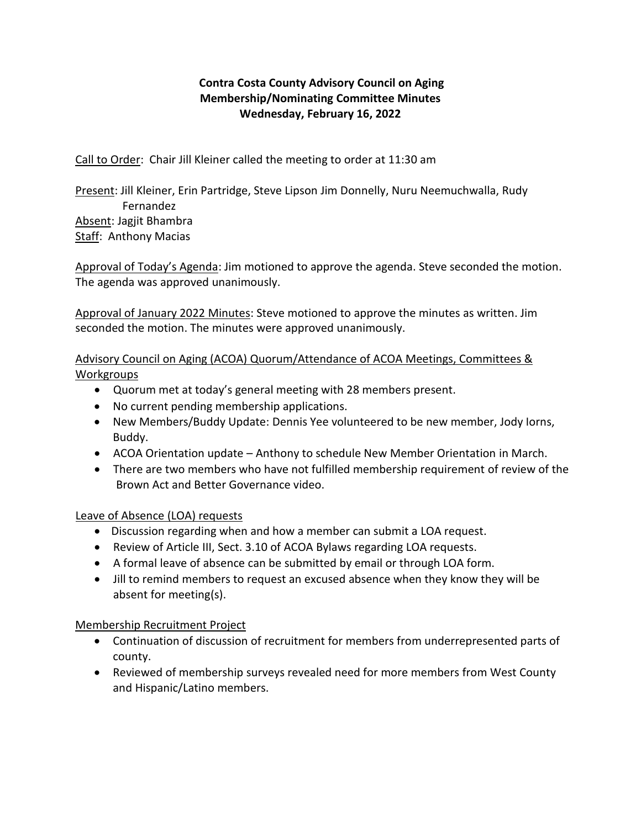## **Contra Costa County Advisory Council on Aging Membership/Nominating Committee Minutes Wednesday, February 16, 2022**

Call to Order: Chair Jill Kleiner called the meeting to order at 11:30 am

Present: Jill Kleiner, Erin Partridge, Steve Lipson Jim Donnelly, Nuru Neemuchwalla, Rudy Fernandez Absent: Jagjit Bhambra Staff: Anthony Macias

Approval of Today's Agenda: Jim motioned to approve the agenda. Steve seconded the motion. The agenda was approved unanimously.

Approval of January 2022 Minutes: Steve motioned to approve the minutes as written. Jim seconded the motion. The minutes were approved unanimously.

Advisory Council on Aging (ACOA) Quorum/Attendance of ACOA Meetings, Committees & **Workgroups** 

- Quorum met at today's general meeting with 28 members present.
- No current pending membership applications.
- New Members/Buddy Update: Dennis Yee volunteered to be new member, Jody Iorns, Buddy.
- ACOA Orientation update Anthony to schedule New Member Orientation in March.
- There are two members who have not fulfilled membership requirement of review of the Brown Act and Better Governance video.

Leave of Absence (LOA) requests

- Discussion regarding when and how a member can submit a LOA request.
- Review of Article III, Sect. 3.10 of ACOA Bylaws regarding LOA requests.
- A formal leave of absence can be submitted by email or through LOA form.
- Jill to remind members to request an excused absence when they know they will be absent for meeting(s).

## Membership Recruitment Project

- Continuation of discussion of recruitment for members from underrepresented parts of county.
- Reviewed of membership surveys revealed need for more members from West County and Hispanic/Latino members.